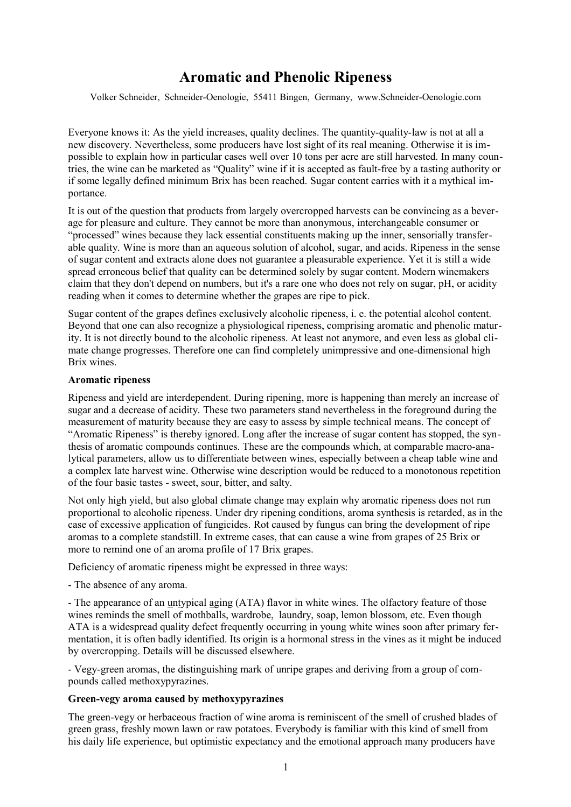# **Aromatic and Phenolic Ripeness**

Volker Schneider, Schneider-Oenologie, 55411 Bingen, Germany, www.Schneider-Oenologie.com

Everyone knows it: As the yield increases, quality declines. The quantity-quality-law is not at all a new discovery. Nevertheless, some producers have lost sight of its real meaning. Otherwise it is impossible to explain how in particular cases well over 10 tons per acre are still harvested. In many countries, the wine can be marketed as "Quality" wine if it is accepted as fault-free by a tasting authority or if some legally defined minimum Brix has been reached. Sugar content carries with it a mythical importance.

It is out of the question that products from largely overcropped harvests can be convincing as a beverage for pleasure and culture. They cannot be more than anonymous, interchangeable consumer or "processed" wines because they lack essential constituents making up the inner, sensorially transferable quality. Wine is more than an aqueous solution of alcohol, sugar, and acids. Ripeness in the sense of sugar content and extracts alone does not guarantee a pleasurable experience. Yet it is still a wide spread erroneous belief that quality can be determined solely by sugar content. Modern winemakers claim that they don't depend on numbers, but it's a rare one who does not rely on sugar, pH, or acidity reading when it comes to determine whether the grapes are ripe to pick.

Sugar content of the grapes defines exclusively alcoholic ripeness, i. e. the potential alcohol content. Beyond that one can also recognize a physiological ripeness, comprising aromatic and phenolic maturity. It is not directly bound to the alcoholic ripeness. At least not anymore, and even less as global climate change progresses. Therefore one can find completely unimpressive and one-dimensional high Brix wines.

### **Aromatic ripeness**

Ripeness and yield are interdependent. During ripening, more is happening than merely an increase of sugar and a decrease of acidity. These two parameters stand nevertheless in the foreground during the measurement of maturity because they are easy to assess by simple technical means. The concept of "Aromatic Ripeness" is thereby ignored. Long after the increase of sugar content has stopped, the synthesis of aromatic compounds continues. These are the compounds which, at comparable macro-analytical parameters, allow us to differentiate between wines, especially between a cheap table wine and a complex late harvest wine. Otherwise wine description would be reduced to a monotonous repetition of the four basic tastes - sweet, sour, bitter, and salty.

Not only high yield, but also global climate change may explain why aromatic ripeness does not run proportional to alcoholic ripeness. Under dry ripening conditions, aroma synthesis is retarded, as in the case of excessive application of fungicides. Rot caused by fungus can bring the development of ripe aromas to a complete standstill. In extreme cases, that can cause a wine from grapes of 25 Brix or more to remind one of an aroma profile of 17 Brix grapes.

Deficiency of aromatic ripeness might be expressed in three ways:

- The absence of any aroma.

- The appearance of an untypical aging (ATA) flavor in white wines. The olfactory feature of those wines reminds the smell of mothballs, wardrobe, laundry, soap, lemon blossom, etc. Even though ATA is a widespread quality defect frequently occurring in young white wines soon after primary fermentation, it is often badly identified. Its origin is a hormonal stress in the vines as it might be induced by overcropping. Details will be discussed elsewhere.

- Vegy-green aromas, the distinguishing mark of unripe grapes and deriving from a group of compounds called methoxypyrazines.

# **Green-vegy aroma caused by methoxypyrazines**

The green-vegy or herbaceous fraction of wine aroma is reminiscent of the smell of crushed blades of green grass, freshly mown lawn or raw potatoes. Everybody is familiar with this kind of smell from his daily life experience, but optimistic expectancy and the emotional approach many producers have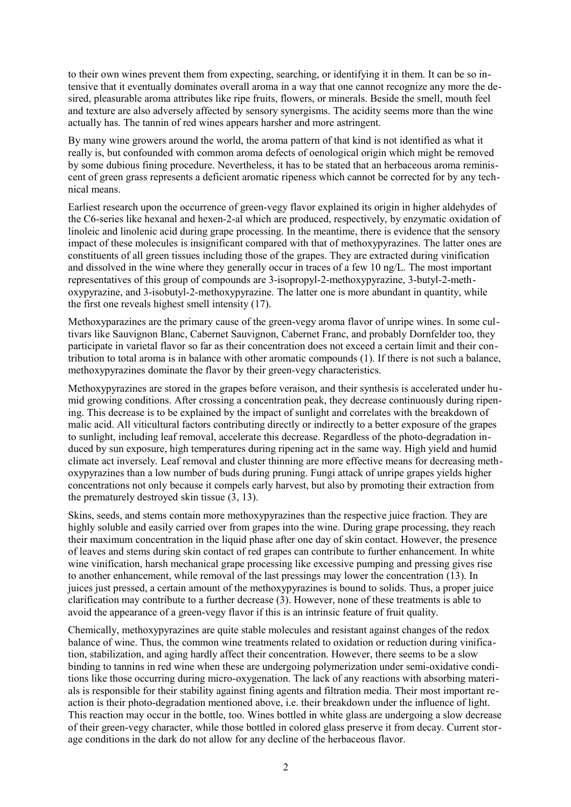to their own wines prevent them from expecting, searching, or identifying it in them. It can be so intensive that it eventually dominates overall aroma in a way that one cannot recognize any more the desired, pleasurable aroma attributes like ripe fruits, flowers, or minerals. Beside the smell, mouth feel and texture are also adversely affected by sensory synergisms. The acidity seems more than the wine actually has. The tannin of red wines appears harsher and more astringent.

By many wine growers around the world, the aroma pattern of that kind is not identified as what it really is, but confounded with common aroma defects of oenological origin which might be removed by some dubious fining procedure. Nevertheless, it has to be stated that an herbaceous aroma reminiscent of green grass represents a deficient aromatic ripeness which cannot be corrected for by any technical means.

Earliest research upon the occurrence of green-vegy flavor explained its origin in higher aldehydes of the C6-series like hexanal and hexen-2-al which are produced, respectively, by enzymatic oxidation of linoleic and linolenic acid during grape processing. In the meantime, there is evidence that the sensory impact of these molecules is insignificant compared with that of methoxypyrazines. The latter ones are constituents of all green tissues including those of the grapes. They are extracted during vinification and dissolved in the wine where they generally occur in traces of a few 10 ng/L. The most important representatives of this group of compounds are 3-isopropyl-2-methoxypyrazine, 3-butyl-2-methoxypyrazine, and 3-isobutyl-2-methoxypyrazine. The latter one is more abundant in quantity, while the first one reveals highest smell intensity (17).

Methoxyparazines are the primary cause of the green-vegy aroma flavor of unripe wines. In some cultivars like Sauvignon Blanc, Cabernet Sauvignon, Cabernet Franc, and probably Dornfelder too, they participate in varietal flavor so far as their concentration does not exceed a certain limit and their contribution to total aroma is in balance with other aromatic compounds (1). If there is not such a balance, methoxypyrazines dominate the flavor by their green-vegy characteristics.

Methoxypyrazines are stored in the grapes before veraison, and their synthesis is accelerated under humid growing conditions. After crossing a concentration peak, they decrease continuously during ripening. This decrease is to be explained by the impact of sunlight and correlates with the breakdown of malic acid. All viticultural factors contributing directly or indirectly to a better exposure of the grapes to sunlight, including leaf removal, accelerate this decrease. Regardless of the photo-degradation induced by sun exposure, high temperatures during ripening act in the same way. High yield and humid climate act inversely. Leaf removal and cluster thinning are more effective means for decreasing methoxypyrazines than a low number of buds during pruning. Fungi attack of unripe grapes yields higher concentrations not only because it compels early harvest, but also by promoting their extraction from the prematurely destroyed skin tissue (3, 13).

Skins, seeds, and stems contain more methoxypyrazines than the respective juice fraction. They are highly soluble and easily carried over from grapes into the wine. During grape processing, they reach their maximum concentration in the liquid phase after one day of skin contact. However, the presence of leaves and stems during skin contact of red grapes can contribute to further enhancement. In white wine vinification, harsh mechanical grape processing like excessive pumping and pressing gives rise to another enhancement, while removal of the last pressings may lower the concentration (13). In juices just pressed, a certain amount of the methoxypyrazines is bound to solids. Thus, a proper juice clarification may contribute to a further decrease (3). However, none of these treatments is able to avoid the appearance of a green-vegy flavor if this is an intrinsic feature of fruit quality.

Chemically, methoxypyrazines are quite stable molecules and resistant against changes of the redox balance of wine. Thus, the common wine treatments related to oxidation or reduction during vinification, stabilization, and aging hardly affect their concentration. However, there seems to be a slow binding to tannins in red wine when these are undergoing polymerization under semi-oxidative conditions like those occurring during micro-oxygenation. The lack of any reactions with absorbing materials is responsible for their stability against fining agents and filtration media. Their most important reaction is their photo-degradation mentioned above, i.e. their breakdown under the influence of light. This reaction may occur in the bottle, too. Wines bottled in white glass are undergoing a slow decrease of their green-vegy character, while those bottled in colored glass preserve it from decay. Current storage conditions in the dark do not allow for any decline of the herbaceous flavor.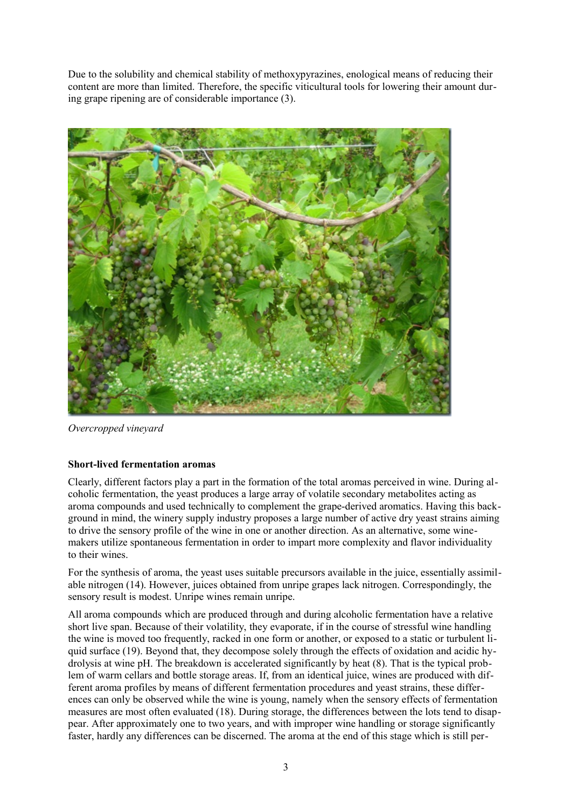Due to the solubility and chemical stability of methoxypyrazines, enological means of reducing their content are more than limited. Therefore, the specific viticultural tools for lowering their amount during grape ripening are of considerable importance (3).



*Overcropped vineyard*

# **Short-lived fermentation aromas**

Clearly, different factors play a part in the formation of the total aromas perceived in wine. During alcoholic fermentation, the yeast produces a large array of volatile secondary metabolites acting as aroma compounds and used technically to complement the grape-derived aromatics. Having this background in mind, the winery supply industry proposes a large number of active dry yeast strains aiming to drive the sensory profile of the wine in one or another direction. As an alternative, some winemakers utilize spontaneous fermentation in order to impart more complexity and flavor individuality to their wines.

For the synthesis of aroma, the yeast uses suitable precursors available in the juice, essentially assimilable nitrogen (14). However, juices obtained from unripe grapes lack nitrogen. Correspondingly, the sensory result is modest. Unripe wines remain unripe.

All aroma compounds which are produced through and during alcoholic fermentation have a relative short live span. Because of their volatility, they evaporate, if in the course of stressful wine handling the wine is moved too frequently, racked in one form or another, or exposed to a static or turbulent liquid surface (19). Beyond that, they decompose solely through the effects of oxidation and acidic hydrolysis at wine pH. The breakdown is accelerated significantly by heat (8). That is the typical problem of warm cellars and bottle storage areas. If, from an identical juice, wines are produced with different aroma profiles by means of different fermentation procedures and yeast strains, these differences can only be observed while the wine is young, namely when the sensory effects of fermentation measures are most often evaluated (18). During storage, the differences between the lots tend to disappear. After approximately one to two years, and with improper wine handling or storage significantly faster, hardly any differences can be discerned. The aroma at the end of this stage which is still per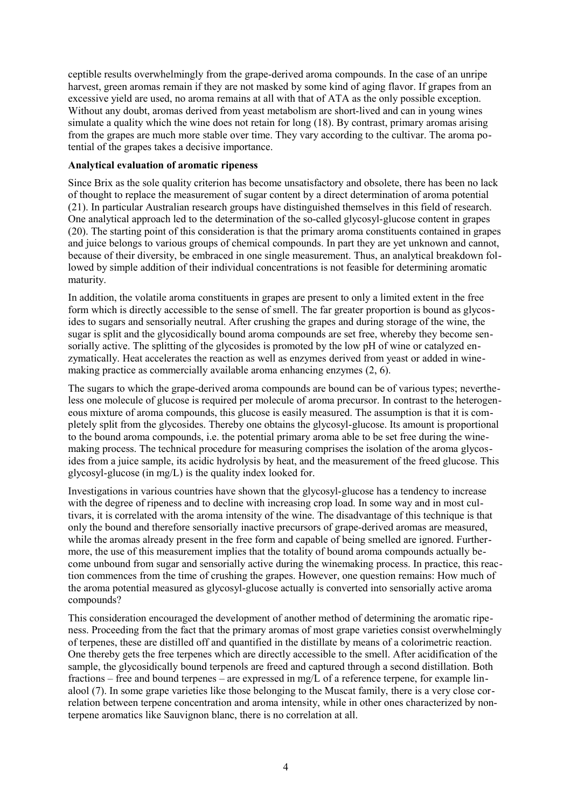ceptible results overwhelmingly from the grape-derived aroma compounds. In the case of an unripe harvest, green aromas remain if they are not masked by some kind of aging flavor. If grapes from an excessive yield are used, no aroma remains at all with that of ATA as the only possible exception. Without any doubt, aromas derived from yeast metabolism are short-lived and can in young wines simulate a quality which the wine does not retain for long (18). By contrast, primary aromas arising from the grapes are much more stable over time. They vary according to the cultivar. The aroma potential of the grapes takes a decisive importance.

# **Analytical evaluation of aromatic ripeness**

Since Brix as the sole quality criterion has become unsatisfactory and obsolete, there has been no lack of thought to replace the measurement of sugar content by a direct determination of aroma potential (21). In particular Australian research groups have distinguished themselves in this field of research. One analytical approach led to the determination of the so-called glycosyl-glucose content in grapes (20). The starting point of this consideration is that the primary aroma constituents contained in grapes and juice belongs to various groups of chemical compounds. In part they are yet unknown and cannot, because of their diversity, be embraced in one single measurement. Thus, an analytical breakdown followed by simple addition of their individual concentrations is not feasible for determining aromatic maturity.

In addition, the volatile aroma constituents in grapes are present to only a limited extent in the free form which is directly accessible to the sense of smell. The far greater proportion is bound as glycosides to sugars and sensorially neutral. After crushing the grapes and during storage of the wine, the sugar is split and the glycosidically bound aroma compounds are set free, whereby they become sensorially active. The splitting of the glycosides is promoted by the low pH of wine or catalyzed enzymatically. Heat accelerates the reaction as well as enzymes derived from yeast or added in winemaking practice as commercially available aroma enhancing enzymes (2, 6).

The sugars to which the grape-derived aroma compounds are bound can be of various types; nevertheless one molecule of glucose is required per molecule of aroma precursor. In contrast to the heterogeneous mixture of aroma compounds, this glucose is easily measured. The assumption is that it is completely split from the glycosides. Thereby one obtains the glycosyl-glucose. Its amount is proportional to the bound aroma compounds, i.e. the potential primary aroma able to be set free during the winemaking process. The technical procedure for measuring comprises the isolation of the aroma glycosides from a juice sample, its acidic hydrolysis by heat, and the measurement of the freed glucose. This glycosyl-glucose (in mg/L) is the quality index looked for.

Investigations in various countries have shown that the glycosyl-glucose has a tendency to increase with the degree of ripeness and to decline with increasing crop load. In some way and in most cultivars, it is correlated with the aroma intensity of the wine. The disadvantage of this technique is that only the bound and therefore sensorially inactive precursors of grape-derived aromas are measured, while the aromas already present in the free form and capable of being smelled are ignored. Furthermore, the use of this measurement implies that the totality of bound aroma compounds actually become unbound from sugar and sensorially active during the winemaking process. In practice, this reaction commences from the time of crushing the grapes. However, one question remains: How much of the aroma potential measured as glycosyl-glucose actually is converted into sensorially active aroma compounds?

This consideration encouraged the development of another method of determining the aromatic ripeness. Proceeding from the fact that the primary aromas of most grape varieties consist overwhelmingly of terpenes, these are distilled off and quantified in the distillate by means of a colorimetric reaction. One thereby gets the free terpenes which are directly accessible to the smell. After acidification of the sample, the glycosidically bound terpenols are freed and captured through a second distillation. Both fractions – free and bound terpenes – are expressed in mg/L of a reference terpene, for example linalool (7). In some grape varieties like those belonging to the Muscat family, there is a very close correlation between terpene concentration and aroma intensity, while in other ones characterized by nonterpene aromatics like Sauvignon blanc, there is no correlation at all.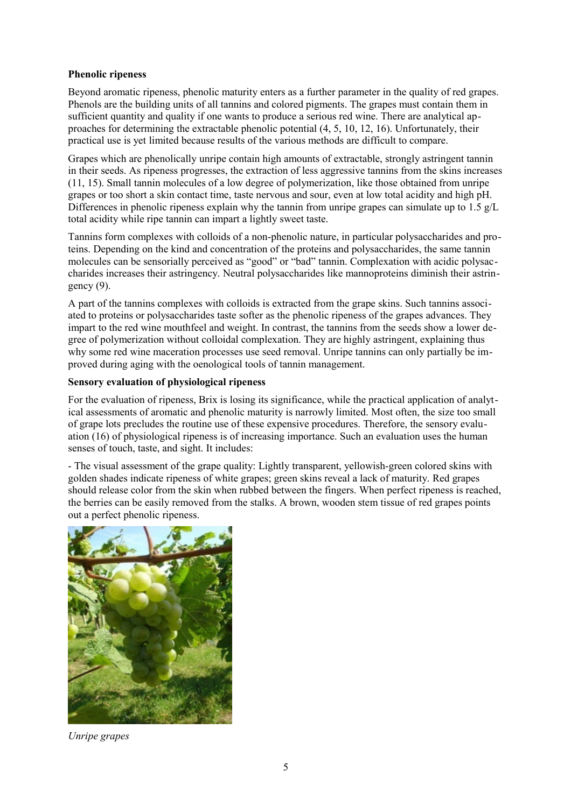# **Phenolic ripeness**

Beyond aromatic ripeness, phenolic maturity enters as a further parameter in the quality of red grapes. Phenols are the building units of all tannins and colored pigments. The grapes must contain them in sufficient quantity and quality if one wants to produce a serious red wine. There are analytical approaches for determining the extractable phenolic potential (4, 5, 10, 12, 16). Unfortunately, their practical use is yet limited because results of the various methods are difficult to compare.

Grapes which are phenolically unripe contain high amounts of extractable, strongly astringent tannin in their seeds. As ripeness progresses, the extraction of less aggressive tannins from the skins increases (11, 15). Small tannin molecules of a low degree of polymerization, like those obtained from unripe grapes or too short a skin contact time, taste nervous and sour, even at low total acidity and high pH. Differences in phenolic ripeness explain why the tannin from unripe grapes can simulate up to 1.5  $g/L$ total acidity while ripe tannin can impart a lightly sweet taste.

Tannins form complexes with colloids of a non-phenolic nature, in particular polysaccharides and proteins. Depending on the kind and concentration of the proteins and polysaccharides, the same tannin molecules can be sensorially perceived as "good" or "bad" tannin. Complexation with acidic polysaccharides increases their astringency. Neutral polysaccharides like mannoproteins diminish their astringency  $(9)$ .

A part of the tannins complexes with colloids is extracted from the grape skins. Such tannins associated to proteins or polysaccharides taste softer as the phenolic ripeness of the grapes advances. They impart to the red wine mouthfeel and weight. In contrast, the tannins from the seeds show a lower degree of polymerization without colloidal complexation. They are highly astringent, explaining thus why some red wine maceration processes use seed removal. Unripe tannins can only partially be improved during aging with the oenological tools of tannin management.

# **Sensory evaluation of physiological ripeness**

For the evaluation of ripeness, Brix is losing its significance, while the practical application of analytical assessments of aromatic and phenolic maturity is narrowly limited. Most often, the size too small of grape lots precludes the routine use of these expensive procedures. Therefore, the sensory evaluation (16) of physiological ripeness is of increasing importance. Such an evaluation uses the human senses of touch, taste, and sight. It includes:

- The visual assessment of the grape quality: Lightly transparent, yellowish-green colored skins with golden shades indicate ripeness of white grapes; green skins reveal a lack of maturity. Red grapes should release color from the skin when rubbed between the fingers. When perfect ripeness is reached, the berries can be easily removed from the stalks. A brown, wooden stem tissue of red grapes points out a perfect phenolic ripeness.



*Unripe grapes*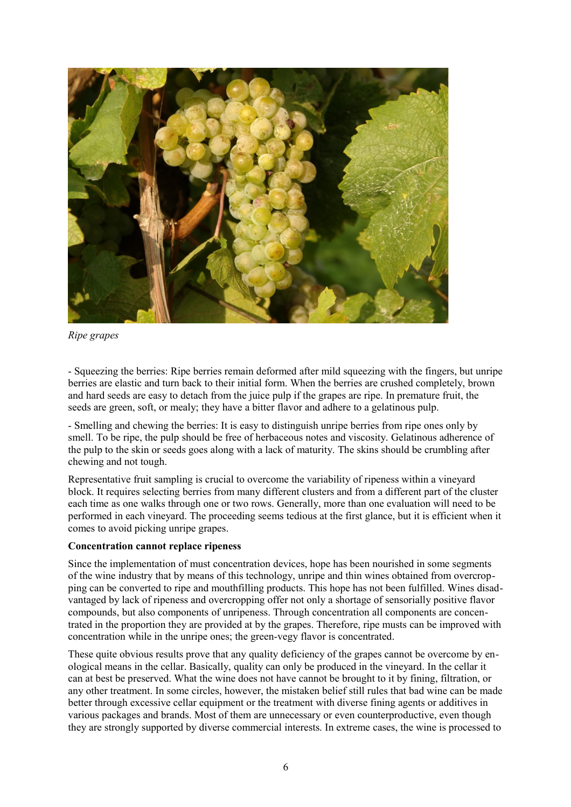

*Ripe grapes*

- Squeezing the berries: Ripe berries remain deformed after mild squeezing with the fingers, but unripe berries are elastic and turn back to their initial form. When the berries are crushed completely, brown and hard seeds are easy to detach from the juice pulp if the grapes are ripe. In premature fruit, the seeds are green, soft, or mealy; they have a bitter flavor and adhere to a gelatinous pulp.

- Smelling and chewing the berries: It is easy to distinguish unripe berries from ripe ones only by smell. To be ripe, the pulp should be free of herbaceous notes and viscosity. Gelatinous adherence of the pulp to the skin or seeds goes along with a lack of maturity. The skins should be crumbling after chewing and not tough.

Representative fruit sampling is crucial to overcome the variability of ripeness within a vineyard block. It requires selecting berries from many different clusters and from a different part of the cluster each time as one walks through one or two rows. Generally, more than one evaluation will need to be performed in each vineyard. The proceeding seems tedious at the first glance, but it is efficient when it comes to avoid picking unripe grapes.

# **Concentration cannot replace ripeness**

Since the implementation of must concentration devices, hope has been nourished in some segments of the wine industry that by means of this technology, unripe and thin wines obtained from overcropping can be converted to ripe and mouthfilling products. This hope has not been fulfilled. Wines disadvantaged by lack of ripeness and overcropping offer not only a shortage of sensorially positive flavor compounds, but also components of unripeness. Through concentration all components are concentrated in the proportion they are provided at by the grapes. Therefore, ripe musts can be improved with concentration while in the unripe ones; the green-vegy flavor is concentrated.

These quite obvious results prove that any quality deficiency of the grapes cannot be overcome by enological means in the cellar. Basically, quality can only be produced in the vineyard. In the cellar it can at best be preserved. What the wine does not have cannot be brought to it by fining, filtration, or any other treatment. In some circles, however, the mistaken belief still rules that bad wine can be made better through excessive cellar equipment or the treatment with diverse fining agents or additives in various packages and brands. Most of them are unnecessary or even counterproductive, even though they are strongly supported by diverse commercial interests. In extreme cases, the wine is processed to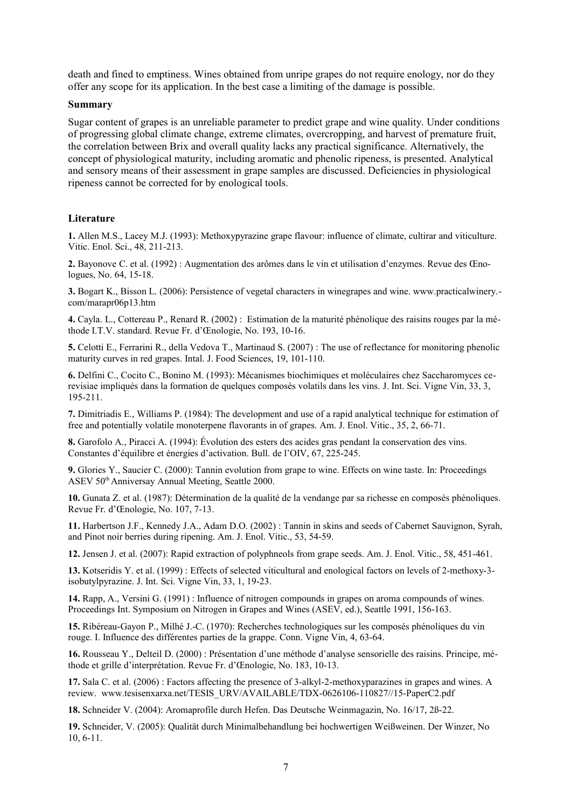death and fined to emptiness. Wines obtained from unripe grapes do not require enology, nor do they offer any scope for its application. In the best case a limiting of the damage is possible.

#### **Summary**

Sugar content of grapes is an unreliable parameter to predict grape and wine quality. Under conditions of progressing global climate change, extreme climates, overcropping, and harvest of premature fruit, the correlation between Brix and overall quality lacks any practical significance. Alternatively, the concept of physiological maturity, including aromatic and phenolic ripeness, is presented. Analytical and sensory means of their assessment in grape samples are discussed. Deficiencies in physiological ripeness cannot be corrected for by enological tools.

### **Literature**

**1.** Allen M.S., Lacey M.J. (1993): Methoxypyrazine grape flavour: influence of climate, cultirar and viticulture. Vitic. Enol. Sci., 48, 211-213.

**2.** Bayonove C. et al. (1992) : Augmentation des arômes dans le vin et utilisation d'enzymes. Revue des Œnologues, No. 64, 15-18.

**3.** Bogart K., Bisson L. (2006): Persistence of vegetal characters in winegrapes and wine. www.practicalwinery. com/marapr06p13.htm

**4.** Cayla. L., Cottereau P., Renard R. (2002) : Estimation de la maturité phénolique des raisins rouges par la méthode I.T.V. standard. Revue Fr. d'Œnologie, No. 193, 10-16.

**5.** Celotti E., Ferrarini R., della Vedova T., Martinaud S. (2007) : The use of reflectance for monitoring phenolic maturity curves in red grapes. Intal. J. Food Sciences, 19, 101-110.

**6.** Delfini C., Cocito C., Bonino M. (1993): Mécanismes biochimiques et moléculaires chez Saccharomyces cerevisiae impliqués dans la formation de quelques composés volatils dans les vins. J. Int. Sci. Vigne Vin, 33, 3, 195-211.

**7.** Dimitriadis E., Williams P. (1984): The development and use of a rapid analytical technique for estimation of free and potentially volatile monoterpene flavorants in of grapes. Am. J. Enol. Vitic., 35, 2, 66-71.

**8.** Garofolo A., Piracci A. (1994): Évolution des esters des acides gras pendant la conservation des vins. Constantes d'équilibre et énergies d'activation. Bull. de l'OIV, 67, 225-245.

**9.** Glories Y., Saucier C. (2000): Tannin evolution from grape to wine. Effects on wine taste. In: Proceedings ASEV 50th Anniversay Annual Meeting, Seattle 2000.

**10.** Gunata Z. et al. (1987): Détermination de la qualité de la vendange par sa richesse en composés phénoliques. Revue Fr. d'Œnologie, No. 107, 7-13.

**11.** Harbertson J.F., Kennedy J.A., Adam D.O. (2002) : Tannin in skins and seeds of Cabernet Sauvignon, Syrah, and Pinot noir berries during ripening. Am. J. Enol. Vitic., 53, 54-59.

**12.** Jensen J. et al. (2007): Rapid extraction of polyphneols from grape seeds. Am. J. Enol. Vitic., 58, 451-461.

**13.** Kotseridis Y. et al. (1999) : Effects of selected viticultural and enological factors on levels of 2-methoxy-3 isobutylpyrazine. J. Int. Sci. Vigne Vin, 33, 1, 19-23.

**14.** Rapp, A., Versini G. (1991) : Influence of nitrogen compounds in grapes on aroma compounds of wines. Proceedings Int. Symposium on Nitrogen in Grapes and Wines (ASEV, ed.), Seattle 1991, 156-163.

**15.** Ribéreau-Gayon P., Milhé J.-C. (1970): Recherches technologiques sur les composés phénoliques du vin rouge. I. Influence des différentes parties de la grappe. Conn. Vigne Vin, 4, 63-64.

**16.** Rousseau Y., Delteil D. (2000) : Présentation d'une méthode d'analyse sensorielle des raisins. Principe, méthode et grille d'interprétation. Revue Fr. d'Œnologie, No. 183, 10-13.

**17.** Sala C. et al. (2006) : Factors affecting the presence of 3-alkyl-2-methoxyparazines in grapes and wines. A review. [www.tesisenxarxa.net/TESIS\\_URV/AVAILABLE/TDX-0626106-110827//15-PaperC2.pdf](http://www.tesisenxarxa.net/TESIS_URV/AVAILABLE/TDX-0626106-110827//15-PaperC2.pdf)

**18.** Schneider V. (2004): Aromaprofile durch Hefen. Das Deutsche Weinmagazin, No. 16/17, 2ß-22.

**19.** Schneider, V. (2005): Qualität durch Minimalbehandlung bei hochwertigen Weißweinen. Der Winzer, No 10, 6-11.